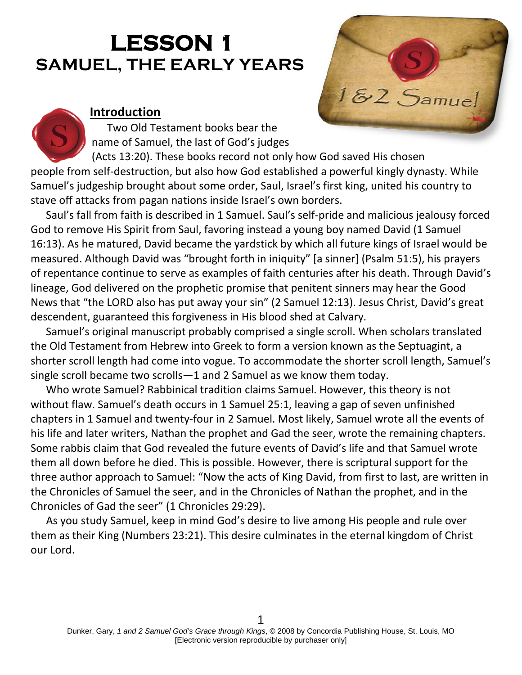# **LESSON 1 SAMUEL, THE EARLY YEARS**

# **Introduction**

Two Old Testament books bear the name of Samuel, the last of God's judges

(Acts 13:20). These books record not only how God saved His chosen people from self-destruction, but also how God established a powerful kingly dynasty. While Samuel's judgeship brought about some order, Saul, Israel's first king, united his country to stave off attacks from pagan nations inside Israel's own borders.

Saul's fall from faith is described in 1 Samuel. Saul's self-pride and malicious jealousy forced God to remove His Spirit from Saul, favoring instead a young boy named David (1 Samuel 16:13). As he matured, David became the yardstick by which all future kings of Israel would be measured. Although David was "brought forth in iniquity" [a sinner] (Psalm 51:5), his prayers of repentance continue to serve as examples of faith centuries after his death. Through David's lineage, God delivered on the prophetic promise that penitent sinners may hear the Good News that "the LORD also has put away your sin" (2 Samuel 12:13). Jesus Christ, David's great descendent, guaranteed this forgiveness in His blood shed at Calvary.

Samuel's original manuscript probably comprised a single scroll. When scholars translated the Old Testament from Hebrew into Greek to form a version known as the Septuagint, a shorter scroll length had come into vogue. To accommodate the shorter scroll length, Samuel's single scroll became two scrolls—1 and 2 Samuel as we know them today.

Who wrote Samuel? Rabbinical tradition claims Samuel. However, this theory is not without flaw. Samuel's death occurs in 1 Samuel 25:1, leaving a gap of seven unfinished chapters in 1 Samuel and twenty-four in 2 Samuel. Most likely, Samuel wrote all the events of his life and later writers, Nathan the prophet and Gad the seer, wrote the remaining chapters. Some rabbis claim that God revealed the future events of David's life and that Samuel wrote them all down before he died. This is possible. However, there is scriptural support for the three author approach to Samuel: "Now the acts of King David, from first to last, are written in the Chronicles of Samuel the seer, and in the Chronicles of Nathan the prophet, and in the Chronicles of Gad the seer" (1 Chronicles 29:29).

As you study Samuel, keep in mind God's desire to live among His people and rule over them as their King (Numbers 23:21). This desire culminates in the eternal kingdom of Christ our Lord.

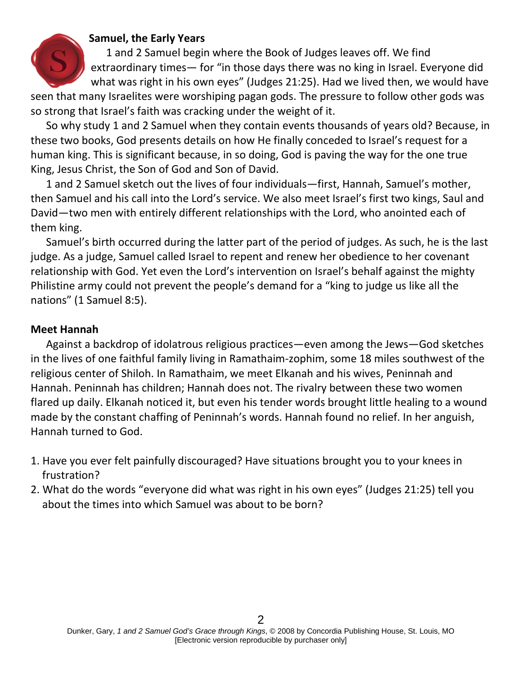#### **Samuel, the Early Years**

1 and 2 Samuel begin where the Book of Judges leaves off. We find extraordinary times— for "in those days there was no king in Israel. Everyone did what was right in his own eyes" (Judges 21:25). Had we lived then, we would have seen that many Israelites were worshiping pagan gods. The pressure to follow other gods was

so strong that Israel's faith was cracking under the weight of it.

So why study 1 and 2 Samuel when they contain events thousands of years old? Because, in these two books, God presents details on how He finally conceded to Israel's request for a human king. This is significant because, in so doing, God is paving the way for the one true King, Jesus Christ, the Son of God and Son of David.

1 and 2 Samuel sketch out the lives of four individuals—first, Hannah, Samuel's mother, then Samuel and his call into the Lord's service. We also meet Israel's first two kings, Saul and David—two men with entirely different relationships with the Lord, who anointed each of them king.

Samuel's birth occurred during the latter part of the period of judges. As such, he is the last judge. As a judge, Samuel called Israel to repent and renew her obedience to her covenant relationship with God. Yet even the Lord's intervention on Israel's behalf against the mighty Philistine army could not prevent the people's demand for a "king to judge us like all the nations" (1 Samuel 8:5).

#### **Meet Hannah**

Against a backdrop of idolatrous religious practices—even among the Jews—God sketches in the lives of one faithful family living in Ramathaim-zophim, some 18 miles southwest of the religious center of Shiloh. In Ramathaim, we meet Elkanah and his wives, Peninnah and Hannah. Peninnah has children; Hannah does not. The rivalry between these two women flared up daily. Elkanah noticed it, but even his tender words brought little healing to a wound made by the constant chaffing of Peninnah's words. Hannah found no relief. In her anguish, Hannah turned to God.

- 1. Have you ever felt painfully discouraged? Have situations brought you to your knees in frustration?
- 2. What do the words "everyone did what was right in his own eyes" (Judges 21:25) tell you about the times into which Samuel was about to be born?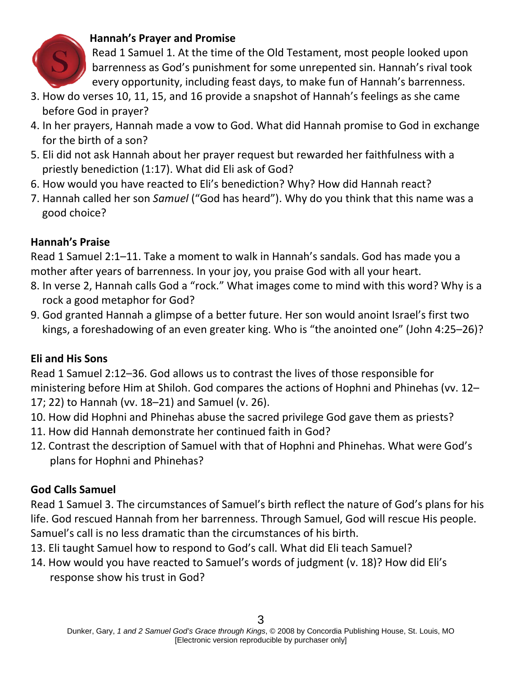

### **Hannah's Prayer and Promise**

Read 1 Samuel 1. At the time of the Old Testament, most people looked upon barrenness as God's punishment for some unrepented sin. Hannah's rival took every opportunity, including feast days, to make fun of Hannah's barrenness.

- 3. How do verses 10, 11, 15, and 16 provide a snapshot of Hannah's feelings as she came before God in prayer?
- 4. In her prayers, Hannah made a vow to God. What did Hannah promise to God in exchange for the birth of a son?
- 5. Eli did not ask Hannah about her prayer request but rewarded her faithfulness with a priestly benediction (1:17). What did Eli ask of God?
- 6. How would you have reacted to Eli's benediction? Why? How did Hannah react?
- 7. Hannah called her son *Samuel* ("God has heard"). Why do you think that this name was a good choice?

# **Hannah's Praise**

Read 1 Samuel 2:1–11. Take a moment to walk in Hannah's sandals. God has made you a mother after years of barrenness. In your joy, you praise God with all your heart.

- 8. In verse 2, Hannah calls God a "rock." What images come to mind with this word? Why is a rock a good metaphor for God?
- 9. God granted Hannah a glimpse of a better future. Her son would anoint Israel's first two kings, a foreshadowing of an even greater king. Who is "the anointed one" (John 4:25–26)?

# **Eli and His Sons**

Read 1 Samuel 2:12–36. God allows us to contrast the lives of those responsible for ministering before Him at Shiloh. God compares the actions of Hophni and Phinehas (vv. 12– 17; 22) to Hannah (vv. 18–21) and Samuel (v. 26).

- 10. How did Hophni and Phinehas abuse the sacred privilege God gave them as priests?
- 11. How did Hannah demonstrate her continued faith in God?
- 12. Contrast the description of Samuel with that of Hophni and Phinehas. What were God's plans for Hophni and Phinehas?

#### **God Calls Samuel**

Read 1 Samuel 3. The circumstances of Samuel's birth reflect the nature of God's plans for his life. God rescued Hannah from her barrenness. Through Samuel, God will rescue His people. Samuel's call is no less dramatic than the circumstances of his birth.

- 13. Eli taught Samuel how to respond to God's call. What did Eli teach Samuel?
- 14. How would you have reacted to Samuel's words of judgment (v. 18)? How did Eli's response show his trust in God?